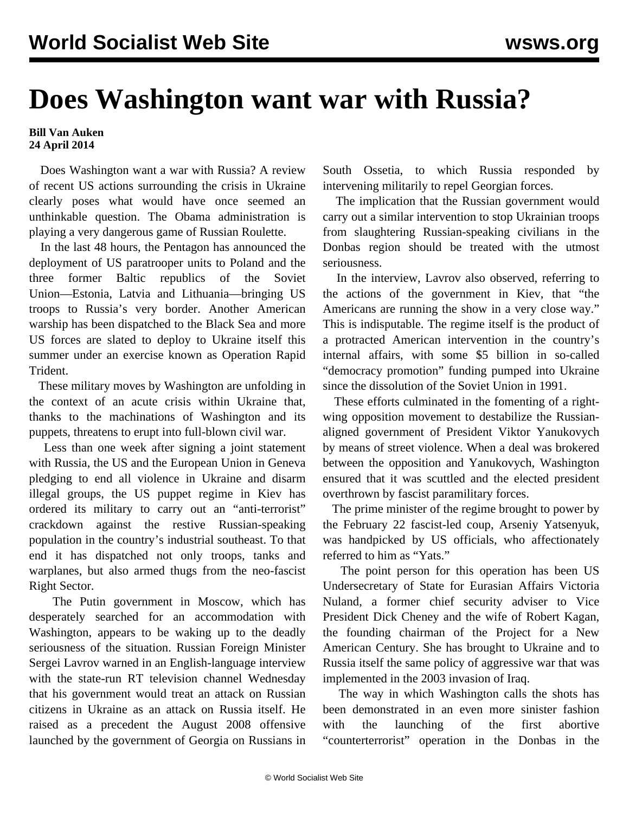## **Does Washington want war with Russia?**

## **Bill Van Auken 24 April 2014**

 Does Washington want a war with Russia? A review of recent US actions surrounding the crisis in Ukraine clearly poses what would have once seemed an unthinkable question. The Obama administration is playing a very dangerous game of Russian Roulette.

 In the last 48 hours, the Pentagon has announced the deployment of US paratrooper units to Poland and the three former Baltic republics of the Soviet Union—Estonia, Latvia and Lithuania—bringing US troops to Russia's very border. Another American warship has been dispatched to the Black Sea and more US forces are slated to deploy to Ukraine itself this summer under an exercise known as Operation Rapid Trident.

 These military moves by Washington are unfolding in the context of an acute crisis within Ukraine that, thanks to the machinations of Washington and its puppets, threatens to erupt into full-blown civil war.

 Less than one week after signing a joint statement with Russia, the US and the European Union in Geneva pledging to end all violence in Ukraine and disarm illegal groups, the US puppet regime in Kiev has ordered its military to carry out an "anti-terrorist" crackdown against the restive Russian-speaking population in the country's industrial southeast. To that end it has dispatched not only troops, tanks and warplanes, but also armed thugs from the neo-fascist Right Sector.

 The Putin government in Moscow, which has desperately searched for an accommodation with Washington, appears to be waking up to the deadly seriousness of the situation. Russian Foreign Minister Sergei Lavrov warned in an English-language interview with the state-run RT television channel Wednesday that his government would treat an attack on Russian citizens in Ukraine as an attack on Russia itself. He raised as a precedent the August 2008 offensive launched by the government of Georgia on Russians in South Ossetia, to which Russia responded by intervening militarily to repel Georgian forces.

 The implication that the Russian government would carry out a similar intervention to stop Ukrainian troops from slaughtering Russian-speaking civilians in the Donbas region should be treated with the utmost seriousness.

 In the interview, Lavrov also observed, referring to the actions of the government in Kiev, that "the Americans are running the show in a very close way." This is indisputable. The regime itself is the product of a protracted American intervention in the country's internal affairs, with some \$5 billion in so-called "democracy promotion" funding pumped into Ukraine since the dissolution of the Soviet Union in 1991.

 These efforts culminated in the fomenting of a rightwing opposition movement to destabilize the Russianaligned government of President Viktor Yanukovych by means of street violence. When a deal was brokered between the opposition and Yanukovych, Washington ensured that it was scuttled and the elected president overthrown by fascist paramilitary forces.

 The prime minister of the regime brought to power by the February 22 fascist-led coup, Arseniy Yatsenyuk, was handpicked by US officials, who affectionately referred to him as "Yats."

 The point person for this operation has been US Undersecretary of State for Eurasian Affairs Victoria Nuland, a former chief security adviser to Vice President Dick Cheney and the wife of Robert Kagan, the founding chairman of the Project for a New American Century. She has brought to Ukraine and to Russia itself the same policy of aggressive war that was implemented in the 2003 invasion of Iraq.

 The way in which Washington calls the shots has been demonstrated in an even more sinister fashion with the launching of the first abortive "counterterrorist" operation in the Donbas in the